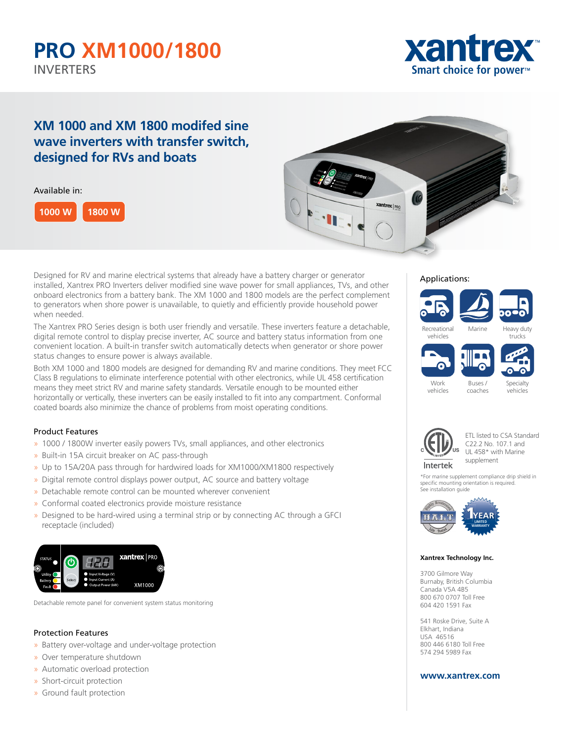## **PRO XM1000/1800 INVERTERS**



### **XM 1000 and XM 1800 modifed sine wave inverters with transfer switch, designed for RVs and boats**

Available in:





Designed for RV and marine electrical systems that already have a battery charger or generator installed, Xantrex PRO Inverters deliver modified sine wave power for small appliances, TVs, and other onboard electronics from a battery bank. The XM 1000 and 1800 models are the perfect complement to generators when shore power is unavailable, to quietly and efficiently provide household power when needed.

The Xantrex PRO Series design is both user friendly and versatile. These inverters feature a detachable, digital remote control to display precise inverter, AC source and battery status information from one convenient location. A built-in transfer switch automatically detects when generator or shore power status changes to ensure power is always available.

Both XM 1000 and 1800 models are designed for demanding RV and marine conditions. They meet FCC Class B regulations to eliminate interference potential with other electronics, while UL 458 certification means they meet strict RV and marine safety standards. Versatile enough to be mounted either horizontally or vertically, these inverters can be easily installed to fit into any compartment. Conformal coated boards also minimize the chance of problems from moist operating conditions.

### Product Features

- » 1000 / 1800W inverter easily powers TVs, small appliances, and other electronics
- » Built-in 15A circuit breaker on AC pass-through
- » Up to 15A/20A pass through for hardwired loads for XM1000/XM1800 respectively
- » Digital remote control displays power output, AC source and battery voltage
- » Detachable remote control can be mounted wherever convenient
- » Conformal coated electronics provide moisture resistance
- » Designed to be hard-wired using a terminal strip or by connecting AC through a GFCI receptacle (included)



Detachable remote panel for convenient system status monitoring

#### Protection Features

- » Battery over-voltage and under-voltage protection
- » Over temperature shutdown
- » Automatic overload protection
- » Short-circuit protection
- » Ground fault protection

#### Applications:



Buses / coaches

Work vehicles Specialty vehicles



ETL listed to CSA Standard C22.2 No. 107.1 and US UL 458\* with Marine supplement

\*For marine supplement compliance drip shield in specific mounting orientation is required.



#### **Xantrex Technology Inc.**

3700 Gilmore Way Burnaby, British Columbia Canada V5A 4B5 800 670 0707 Toll Free 604 420 1591 Fax

541 Roske Drive, Suite A Elkhart, Indiana USA 46516 800 446 6180 Toll Free 574 294 5989 Fax

#### **www.xantrex.com**